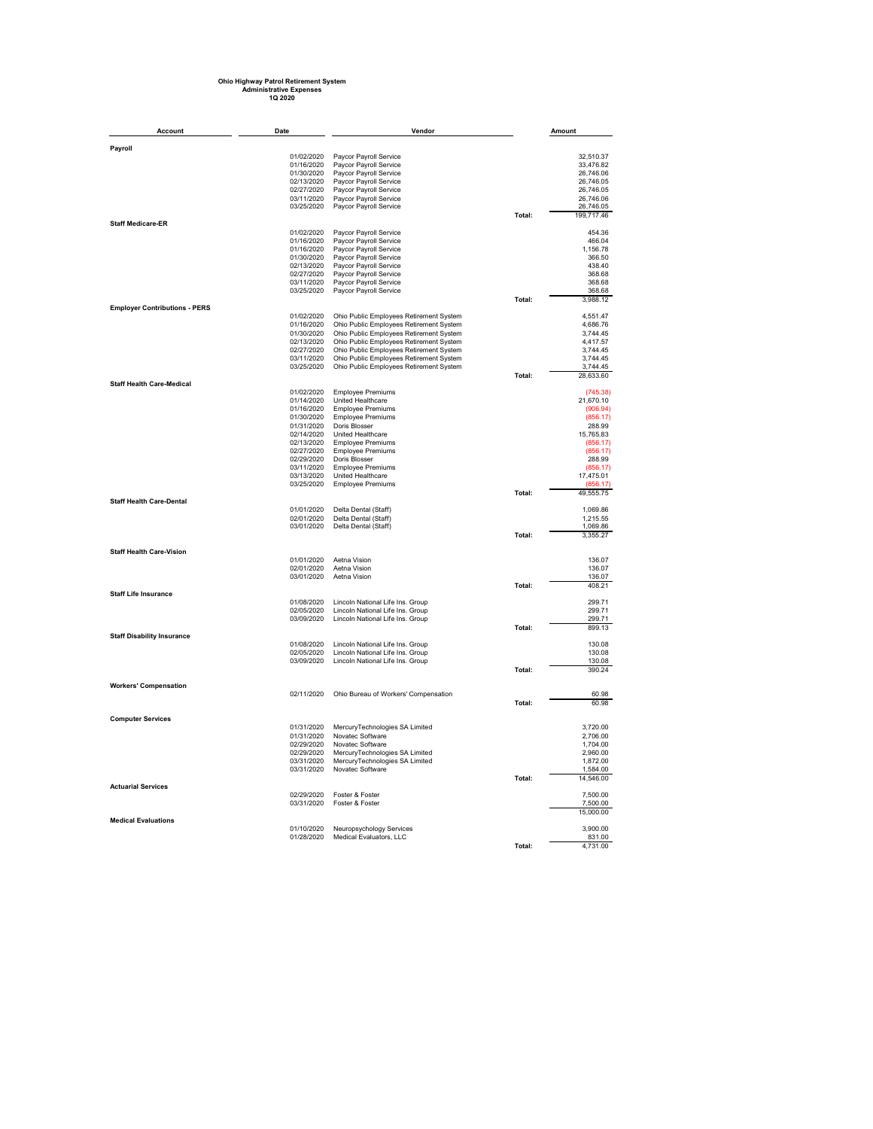## **Ohio Highway Patrol Retirement System Administrative Expenses 1Q 2020**

| Account                              | Date                     | Vendor                                                                             |        | Amount                |
|--------------------------------------|--------------------------|------------------------------------------------------------------------------------|--------|-----------------------|
| Payroll                              |                          |                                                                                    |        |                       |
|                                      | 01/02/2020               | Paycor Payroll Service                                                             |        | 32.510.37             |
|                                      | 01/16/2020               | Paycor Payroll Service                                                             |        | 33,476.82             |
|                                      | 01/30/2020               | Paycor Payroll Service                                                             |        | 26,746.06             |
|                                      | 02/13/2020               | Paycor Payroll Service                                                             |        | 26,746.05             |
|                                      | 02/27/2020               | Paycor Payroll Service                                                             |        | 26,746.05             |
|                                      | 03/11/2020               | Paycor Payroll Service                                                             |        | 26,746.06             |
|                                      | 03/25/2020               | Paycor Payroll Service                                                             |        | 26,746.05             |
| <b>Staff Medicare-ER</b>             |                          |                                                                                    | Total: | 199,717.46            |
|                                      | 01/02/2020               | Paycor Payroll Service                                                             |        | 454.36                |
|                                      | 01/16/2020               | Paycor Payroll Service                                                             |        | 466.04                |
|                                      | 01/16/2020               | Paycor Payroll Service                                                             |        | 1,156.78              |
|                                      | 01/30/2020               | Paycor Payroll Service                                                             |        | 366.50                |
|                                      | 02/13/2020               | Paycor Payroll Service                                                             |        | 438.40                |
|                                      | 02/27/2020               | Paycor Payroll Service                                                             |        | 368.68                |
|                                      | 03/11/2020<br>03/25/2020 | Paycor Payroll Service                                                             |        | 368.68<br>368.68      |
|                                      |                          | Paycor Payroll Service                                                             | Total: | 3,988.12              |
| <b>Employer Contributions - PERS</b> |                          |                                                                                    |        |                       |
|                                      | 01/02/2020               | Ohio Public Employees Retirement System                                            |        | 4,551.47              |
|                                      | 01/16/2020               | Ohio Public Employees Retirement System                                            |        | 4.686.76              |
|                                      | 01/30/2020               | Ohio Public Employees Retirement System                                            |        | 3,744.45              |
|                                      | 02/13/2020               | Ohio Public Employees Retirement System                                            |        | 4.417.57              |
|                                      | 02/27/2020<br>03/11/2020 | Ohio Public Employees Retirement System<br>Ohio Public Employees Retirement System |        | 3,744.45<br>3,744.45  |
|                                      | 03/25/2020               | Ohio Public Employees Retirement System                                            |        | 3,744.45              |
|                                      |                          |                                                                                    | Total: | 28.633.60             |
| <b>Staff Health Care-Medical</b>     |                          |                                                                                    |        |                       |
|                                      | 01/02/2020               | <b>Employee Premiums</b>                                                           |        | (745.38)              |
|                                      | 01/14/2020               | United Healthcare                                                                  |        | 21,670.10             |
|                                      | 01/16/2020               | <b>Employee Premiums</b>                                                           |        | (906.94)              |
|                                      | 01/30/2020<br>01/31/2020 | <b>Employee Premiums</b><br>Doris Blosser                                          |        | (856.17)<br>288.99    |
|                                      | 02/14/2020               | <b>United Healthcare</b>                                                           |        | 15,765.83             |
|                                      | 02/13/2020               | <b>Employee Premiums</b>                                                           |        | (856.17)              |
|                                      | 02/27/2020               | <b>Employee Premiums</b>                                                           |        | (856.17)              |
|                                      | 02/29/2020               | Doris Blosser                                                                      |        | 288.99                |
|                                      | 03/11/2020               | <b>Employee Premiums</b>                                                           |        | (856.17)              |
|                                      | 03/13/2020<br>03/25/2020 | United Healthcare<br><b>Employee Premiums</b>                                      |        | 17,475.01<br>(856.17) |
|                                      |                          |                                                                                    | Total: | 49,555.75             |
| <b>Staff Health Care-Dental</b>      |                          |                                                                                    |        |                       |
|                                      | 01/01/2020               | Delta Dental (Staff)                                                               |        | 1.069.86              |
|                                      | 02/01/2020               | Delta Dental (Staff)                                                               |        | 1,215.55              |
|                                      | 03/01/2020               | Delta Dental (Staff)                                                               |        | 1.069.86              |
|                                      |                          |                                                                                    | Total: | 3,355.27              |
| <b>Staff Health Care-Vision</b>      |                          |                                                                                    |        |                       |
|                                      | 01/01/2020               | Aetna Vision                                                                       |        | 136.07                |
|                                      | 02/01/2020               | Aetna Vision                                                                       |        | 136.07                |
|                                      | 03/01/2020               | Aetna Vision                                                                       |        | 136.07                |
| <b>Staff Life Insurance</b>          |                          |                                                                                    | Total: | 408.21                |
|                                      | 01/08/2020               | Lincoln National Life Ins. Group                                                   |        | 299.71                |
|                                      | 02/05/2020               | Lincoln National Life Ins. Group                                                   |        | 299.71                |
|                                      | 03/09/2020               | Lincoln National Life Ins. Group                                                   |        | 299.71                |
|                                      |                          |                                                                                    | Total: | 899.13                |
| <b>Staff Disability Insurance</b>    | 01/08/2020               | Lincoln National Life Ins. Group                                                   |        | 130.08                |
|                                      | 02/05/2020               | Lincoln National Life Ins. Group                                                   |        | 130.08                |
|                                      | 03/09/2020               | Lincoln National Life Ins. Group                                                   |        | 130.08                |
|                                      |                          |                                                                                    | Total: | 390.24                |
|                                      |                          |                                                                                    |        |                       |
| <b>Workers' Compensation</b>         | 02/11/2020               | Ohio Bureau of Workers' Compensation                                               |        | 60.98                 |
|                                      |                          |                                                                                    | Total: | 60.98                 |
|                                      |                          |                                                                                    |        |                       |
| <b>Computer Services</b>             |                          |                                                                                    |        |                       |
|                                      | 01/31/2020               | MercuryTechnologies SA Limited                                                     |        | 3,720.00              |
|                                      | 01/31/2020<br>02/29/2020 | Novatec Software<br>Novatec Software                                               |        | 2.706.00<br>1,704.00  |
|                                      | 02/29/2020               | MercuryTechnologies SA Limited                                                     |        | 2.960.00              |
|                                      | 03/31/2020               | MercuryTechnologies SA Limited                                                     |        | 1,872.00              |
|                                      | 03/31/2020               | Novatec Software                                                                   |        | 1,584.00              |
|                                      |                          |                                                                                    | Total: | 14.546.00             |
| <b>Actuarial Services</b>            |                          |                                                                                    |        |                       |
|                                      | 02/29/2020<br>03/31/2020 | Foster & Foster<br>Foster & Foster                                                 |        | 7,500.00<br>7,500.00  |
|                                      |                          |                                                                                    |        | 15,000.00             |
| <b>Medical Evaluations</b>           |                          |                                                                                    |        |                       |
|                                      | 01/10/2020               | Neuropsychology Services                                                           |        | 3.900.00              |
|                                      | 01/28/2020               | Medical Evaluators, LLC                                                            |        | 831.00                |
|                                      |                          |                                                                                    | Total: | 4.731.00              |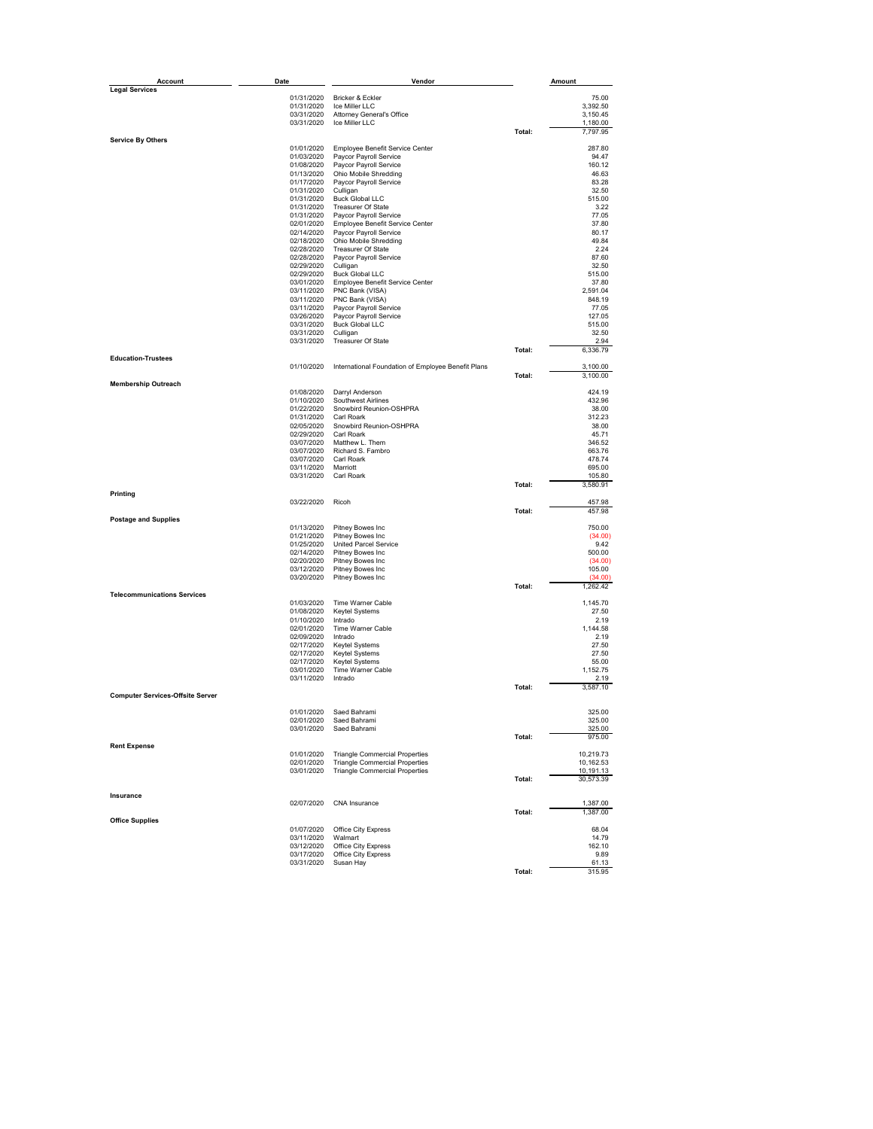| Account                                 | Date                     | Vendor                                             |        | Amount               |
|-----------------------------------------|--------------------------|----------------------------------------------------|--------|----------------------|
| <b>Legal Services</b>                   |                          |                                                    |        |                      |
|                                         | 01/31/2020               | Bricker & Eckler                                   |        | 75.00                |
|                                         | 01/31/2020               | Ice Miller LLC                                     |        | 3,392.50             |
|                                         | 03/31/2020               | Attorney General's Office                          |        | 3,150.45             |
|                                         | 03/31/2020               | Ice Miller LLC                                     | Total: | 1,180.00<br>7,797.95 |
| <b>Service By Others</b>                |                          |                                                    |        |                      |
|                                         | 01/01/2020               | Employee Benefit Service Center                    |        | 287.80               |
|                                         | 01/03/2020               | Paycor Payroll Service                             |        | 94.47                |
|                                         | 01/08/2020               | Paycor Payroll Service                             |        | 160.12               |
|                                         | 01/13/2020<br>01/17/2020 | Ohio Mobile Shredding<br>Paycor Payroll Service    |        | 46.63<br>83.28       |
|                                         | 01/31/2020               | Culligan                                           |        | 32.50                |
|                                         | 01/31/2020               | <b>Buck Global LLC</b>                             |        | 515.00               |
|                                         | 01/31/2020               | Treasurer Of State                                 |        | 3.22                 |
|                                         | 01/31/2020               | Paycor Payroll Service                             |        | 77.05                |
|                                         | 02/01/2020               | Employee Benefit Service Center                    |        | 37.80                |
|                                         | 02/14/2020               | Paycor Payroll Service                             |        | 80.17                |
|                                         | 02/18/2020<br>02/28/2020 | Ohio Mobile Shredding<br><b>Treasurer Of State</b> |        | 49.84<br>2.24        |
|                                         | 02/28/2020               | Paycor Payroll Service                             |        | 87.60                |
|                                         | 02/29/2020               | Culligan                                           |        | 32.50                |
|                                         | 02/29/2020               | <b>Buck Global LLC</b>                             |        | 515.00               |
|                                         | 03/01/2020               | Employee Benefit Service Center                    |        | 37.80                |
|                                         | 03/11/2020               | PNC Bank (VISA)                                    |        | 2,591.04             |
|                                         | 03/11/2020               | PNC Bank (VISA)                                    |        | 848.19               |
|                                         | 03/11/2020               | Paycor Payroll Service                             |        | 77.05                |
|                                         | 03/26/2020<br>03/31/2020 | Paycor Payroll Service<br><b>Buck Global LLC</b>   |        | 127.05<br>515.00     |
|                                         | 03/31/2020               | Culligan                                           |        | 32.50                |
|                                         | 03/31/2020               | Treasurer Of State                                 |        | 2.94                 |
|                                         |                          |                                                    | Total: | 6,336.79             |
| <b>Education-Trustees</b>               |                          |                                                    |        |                      |
|                                         | 01/10/2020               | International Foundation of Employee Benefit Plans |        | 3,100.00             |
|                                         |                          |                                                    | Total: | 3,100.00             |
| <b>Membership Outreach</b>              |                          |                                                    |        | 424.19               |
|                                         | 01/08/2020<br>01/10/2020 | Darryl Anderson<br>Southwest Airlines              |        | 432.96               |
|                                         | 01/22/2020               | Snowbird Reunion-OSHPRA                            |        | 38.00                |
|                                         | 01/31/2020               | Carl Roark                                         |        | 312.23               |
|                                         | 02/05/2020               | Snowbird Reunion-OSHPRA                            |        | 38.00                |
|                                         | 02/29/2020               | Carl Roark                                         |        | 45.71                |
|                                         | 03/07/2020               | Matthew L. Them                                    |        | 346.52               |
|                                         | 03/07/2020<br>03/07/2020 | Richard S. Fambro<br>Carl Roark                    |        | 663.76<br>478.74     |
|                                         | 03/11/2020               | Marriott                                           |        | 695.00               |
|                                         | 03/31/2020               | Carl Roark                                         |        | 105.80               |
|                                         |                          |                                                    | Total: | 3,580.91             |
| Printing                                |                          |                                                    |        |                      |
|                                         | 03/22/2020               | Ricoh                                              |        | 457.98               |
| <b>Postage and Supplies</b>             |                          |                                                    | Total: | 457.98               |
|                                         | 01/13/2020               | Pitney Bowes Inc                                   |        | 750.00               |
|                                         | 01/21/2020               | Pitney Bowes Inc                                   |        | (34.00)              |
|                                         | 01/25/2020               | <b>United Parcel Service</b>                       |        | 9.42                 |
|                                         | 02/14/2020               | Pitney Bowes Inc                                   |        | 500.00               |
|                                         | 02/20/2020               | Pitney Bowes Inc                                   |        | (34.00)              |
|                                         | 03/12/2020               | Pitney Bowes Inc                                   |        | 105.00<br>(34.00)    |
|                                         | 03/20/2020               | Pitney Bowes Inc                                   | Total: | 1,262.42             |
| <b>Telecommunications Services</b>      |                          |                                                    |        |                      |
|                                         | 01/03/2020               | Time Warner Cable                                  |        | 1,145.70             |
|                                         | 01/08/2020               | Keytel Systems                                     |        | 27.50                |
|                                         | 01/10/2020               | Intrado                                            |        | 2.19                 |
|                                         | 02/01/2020               | Time Warner Cable                                  |        | 1,144.58             |
|                                         | 02/09/2020               | Intrado                                            |        | 2.19                 |
|                                         | 02/17/2020               | <b>Keytel Systems</b><br>Keytel Systems            |        | 27.50                |
|                                         | 02/17/2020<br>02/17/2020 | Keytel Systems                                     |        | 27.50<br>55.00       |
|                                         | 03/01/2020               | Time Warner Cable                                  |        | 1,152.75             |
|                                         | 03/11/2020               | Intrado                                            |        | 2.19                 |
|                                         |                          |                                                    | Total: | 3,587.10             |
| <b>Computer Services-Offsite Server</b> |                          |                                                    |        |                      |
|                                         |                          |                                                    |        |                      |
|                                         | 01/01/2020               | Saed Bahrami                                       |        | 325.00               |
|                                         | 02/01/2020<br>03/01/2020 | Saed Bahrami<br>Saed Bahrami                       |        | 325.00<br>325.00     |
|                                         |                          |                                                    | Total: | 975.00               |
| <b>Rent Expense</b>                     |                          |                                                    |        |                      |
|                                         | 01/01/2020               | <b>Triangle Commercial Properties</b>              |        | 10,219.73            |
|                                         | 02/01/2020               | <b>Triangle Commercial Properties</b>              |        | 10,162.53            |
|                                         | 03/01/2020               | <b>Triangle Commercial Properties</b>              |        | 10,191.13            |
|                                         |                          |                                                    | Total: | 30,573.39            |
| Insurance                               |                          |                                                    |        |                      |
|                                         | 02/07/2020               | CNA Insurance                                      |        | 1,387.00             |
|                                         |                          |                                                    | Total: | 1,387.00             |
| <b>Office Supplies</b>                  |                          |                                                    |        |                      |
|                                         | 01/07/2020               | Office City Express                                |        | 68.04                |
|                                         | 03/11/2020               | Walmart                                            |        | 14.79                |
|                                         | 03/12/2020               | Office City Express                                |        | 162.10               |
|                                         | 03/17/2020<br>03/31/2020 | Office City Express<br>Susan Hay                   |        | 9.89<br>61.13        |
|                                         |                          |                                                    | Total: | 315.95               |
|                                         |                          |                                                    |        |                      |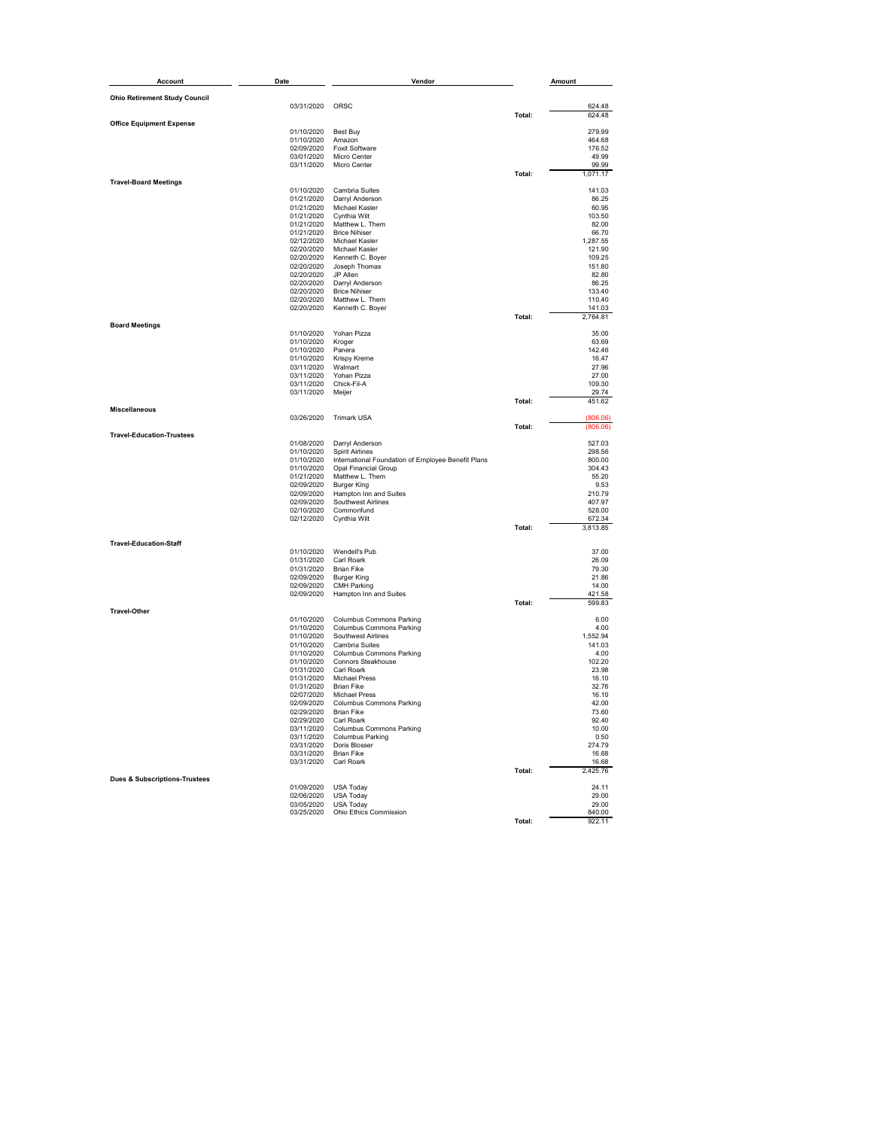| Account                                  | Date                                           | Vendor                                                                            |        | Amount             |
|------------------------------------------|------------------------------------------------|-----------------------------------------------------------------------------------|--------|--------------------|
| <b>Ohio Retirement Study Council</b>     |                                                |                                                                                   |        |                    |
|                                          | 03/31/2020                                     | ORSC                                                                              |        | 624.48             |
| <b>Office Equipment Expense</b>          |                                                |                                                                                   | Total: | 624.48             |
|                                          | 01/10/2020                                     | Best Buy                                                                          |        | 279.99             |
|                                          | 01/10/2020<br>02/09/2020                       | Amazon<br><b>Foxit Software</b>                                                   |        | 464.68<br>176.52   |
|                                          | 03/01/2020                                     | Micro Center                                                                      |        | 49.99              |
|                                          | 03/11/2020                                     | Micro Center                                                                      |        | 99.99              |
| <b>Travel-Board Meetings</b>             |                                                |                                                                                   | Total: | 1,071.17           |
|                                          | 01/10/2020                                     | Cambria Suites                                                                    |        | 141.03             |
|                                          | 01/21/2020<br>01/21/2020                       | Darryl Anderson<br>Michael Kasler                                                 |        | 86.25<br>60.95     |
|                                          | 01/21/2020                                     | Cynthia Wilt                                                                      |        | 103.50             |
|                                          | 01/21/2020                                     | Matthew L. Them                                                                   |        | 82.00              |
|                                          | 01/21/2020<br>02/12/2020                       | <b>Brice Nihiser</b><br>Michael Kasler                                            |        | 66.70<br>1,287.55  |
|                                          | 02/20/2020                                     | Michael Kasler                                                                    |        | 121.90             |
|                                          | 02/20/2020<br>02/20/2020                       | Kenneth C. Boyer<br>Joseph Thomas                                                 |        | 109.25<br>151.80   |
|                                          | 02/20/2020                                     | JP Allen                                                                          |        | 82.80              |
|                                          | 02/20/2020                                     | Darryl Anderson                                                                   |        | 86.25              |
|                                          | 02/20/2020<br>02/20/2020                       | <b>Brice Nihiser</b><br>Matthew L. Them                                           |        | 133.40<br>110.40   |
|                                          | 02/20/2020                                     | Kenneth C. Boyer                                                                  |        | 141.03             |
| <b>Board Meetings</b>                    |                                                |                                                                                   | Total: | 2,764.81           |
|                                          | 01/10/2020                                     | Yohan Pizza                                                                       |        | 35.00              |
|                                          | 01/10/2020                                     | Kroger                                                                            |        | 63.69<br>142.46    |
|                                          | 01/10/2020<br>01/10/2020                       | Panera<br>Krispy Kreme                                                            |        | 16.47              |
|                                          | 03/11/2020                                     | Walmart                                                                           |        | 27.96              |
|                                          | 03/11/2020<br>03/11/2020                       | Yohan Pizza<br>Chick-Fil-A                                                        |        | 27.00<br>109.30    |
|                                          | 03/11/2020                                     | Meijer                                                                            |        | 29.74              |
| <b>Miscellaneous</b>                     |                                                |                                                                                   | Total: | 451.62             |
|                                          | 03/26/2020                                     | <b>Trimark USA</b>                                                                |        | (806.06)           |
|                                          |                                                |                                                                                   | Total: | (806.06)           |
| <b>Travel-Education-Trustees</b>         | 01/08/2020                                     | Darryl Anderson                                                                   |        | 527.03             |
|                                          | 01/10/2020                                     | <b>Spirit Airlines</b>                                                            |        | 298.56             |
|                                          | 01/10/2020<br>01/10/2020                       | International Foundation of Employee Benefit Plans<br><b>Opal Financial Group</b> |        | 800.00<br>304.43   |
|                                          | 01/21/2020                                     | Matthew L. Them                                                                   |        | 55.20              |
|                                          | 02/09/2020<br>02/09/2020                       | <b>Burger King</b><br>Hampton Inn and Suites                                      |        | 9.53<br>210.79     |
|                                          | 02/09/2020                                     | Southwest Airlines                                                                |        | 407.97             |
|                                          | 02/10/2020                                     | Commonfund                                                                        |        | 528.00             |
|                                          | 02/12/2020                                     | Cynthia Wilt                                                                      | Total: | 672.34<br>3,813.85 |
|                                          |                                                |                                                                                   |        |                    |
| <b>Travel-Education-Staff</b>            | 01/10/2020                                     | Wendell's Pub                                                                     |        | 37.00              |
|                                          | 01/31/2020                                     | Carl Roark                                                                        |        | 26.09              |
|                                          | 01/31/2020                                     | <b>Brian Fike</b>                                                                 |        | 79.30              |
|                                          | 02/09/2020<br>02/09/2020                       | <b>Burger King</b><br><b>CMH Parking</b>                                          |        | 21.86<br>14.00     |
|                                          | 02/09/2020                                     | Hampton Inn and Suites                                                            |        | 421.58             |
| <b>Travel-Other</b>                      |                                                |                                                                                   | Total: | 599.83             |
|                                          | 01/10/2020                                     | Columbus Commons Parking                                                          |        | 6.00               |
|                                          | 01/10/2020<br>01/10/2020                       | <b>Columbus Commons Parking</b><br>Southwest Airlines                             |        | 4.00<br>1.552.94   |
|                                          | 01/10/2020                                     | Cambria Suites                                                                    |        | 141.03             |
|                                          | 01/10/2020<br>01/10/2020                       | <b>Columbus Commons Parking</b><br><b>Connors Steakhouse</b>                      |        | 4.00<br>102.20     |
|                                          | 01/31/2020                                     | Carl Roark                                                                        |        | 23.98              |
|                                          | 01/31/2020                                     | <b>Michael Press</b>                                                              |        | 16.10              |
|                                          | 01/31/2020<br>02/07/2020                       | Brian Fike<br>Michael Press                                                       |        | 32.76<br>16.10     |
|                                          | 02/09/2020                                     | Columbus Commons Parking                                                          |        | 42.00              |
|                                          | 02/29/2020 Brian Fike<br>02/29/2020 Carl Roark |                                                                                   |        | 73.60<br>92.40     |
|                                          |                                                | 03/11/2020 Columbus Commons Parking                                               |        | 10.00              |
|                                          |                                                | 03/11/2020 Columbus Parking                                                       |        | 0.50               |
|                                          | 03/31/2020                                     | 03/31/2020 Doris Blosser<br><b>Brian Fike</b>                                     |        | 274.79<br>16.68    |
|                                          | 03/31/2020                                     | Carl Roark                                                                        |        | 16.68              |
| <b>Dues &amp; Subscriptions-Trustees</b> |                                                |                                                                                   | Total: | 2,425.76           |
|                                          | 01/09/2020                                     | <b>USA Today</b>                                                                  |        | 24.11              |
|                                          | 02/06/2020<br>03/05/2020                       | <b>USA Today</b><br>USA Today                                                     |        | 29.00<br>29.00     |
|                                          | 03/25/2020                                     | Ohio Ethics Commission                                                            |        | 840.00             |
|                                          |                                                |                                                                                   | Total: | 922.11             |